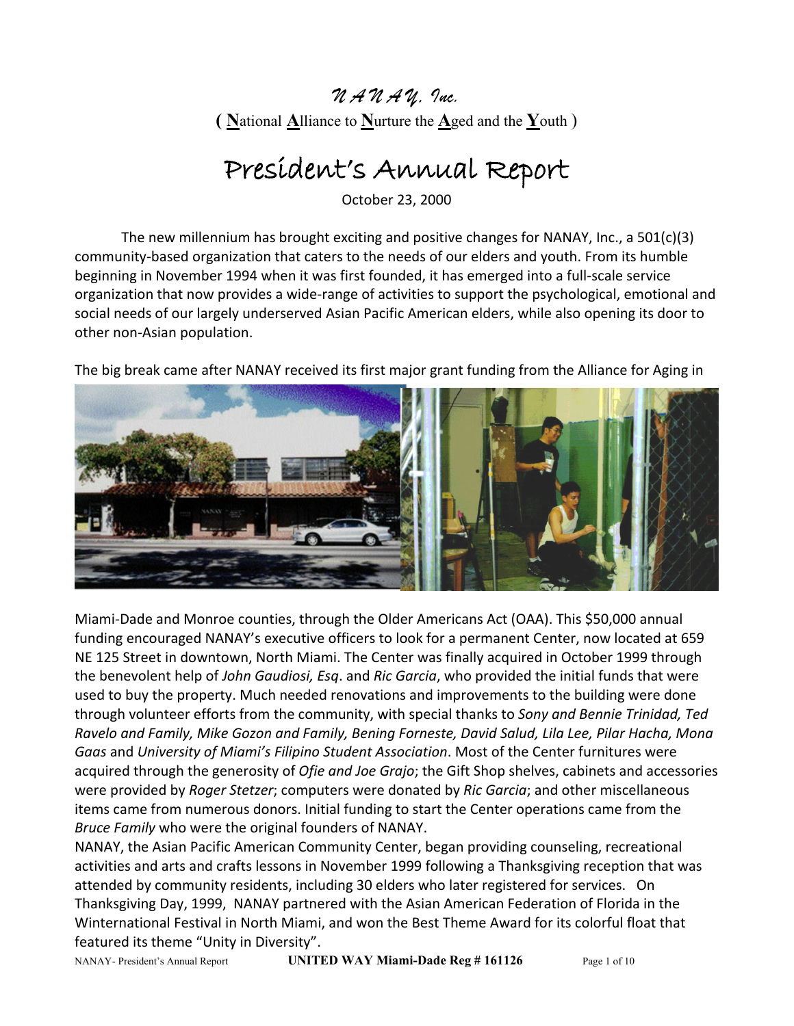## *N A N A Y, Inc.* **( N**ational **A**lliance to **N**urture the **A**ged and the **Y**outh )

## President's Annual Report

October 23, 2000

The new millennium has brought exciting and positive changes for NANAY, Inc., a 501(c)(3) community-based organization that caters to the needs of our elders and youth. From its humble beginning in November 1994 when it was first founded, it has emerged into a full-scale service organization that now provides a wide-range of activities to support the psychological, emotional and social needs of our largely underserved Asian Pacific American elders, while also opening its door to other non-Asian population.

The big break came after NANAY received its first major grant funding from the Alliance for Aging in



Miami-Dade and Monroe counties, through the Older Americans Act (OAA). This \$50,000 annual funding encouraged NANAY's executive officers to look for a permanent Center, now located at 659 NE 125 Street in downtown, North Miami. The Center was finally acquired in October 1999 through the benevolent help of *John Gaudiosi, Esq*. and *Ric Garcia*, who provided the initial funds that were used to buy the property. Much needed renovations and improvements to the building were done through volunteer efforts from the community, with special thanks to *Sony and Bennie Trinidad, Ted Ravelo and Family, Mike Gozon and Family, Bening Forneste, David Salud, Lila Lee, Pilar Hacha, Mona Gaas* and *University of Miami's Filipino Student Association*. Most of the Center furnitures were acquired through the generosity of *Ofie and Joe Grajo*; the Gift Shop shelves, cabinets and accessories were provided by *Roger Stetzer*; computers were donated by *Ric Garcia*; and other miscellaneous items came from numerous donors. Initial funding to start the Center operations came from the *Bruce Family* who were the original founders of NANAY.

NANAY, the Asian Pacific American Community Center, began providing counseling, recreational activities and arts and crafts lessons in November 1999 following a Thanksgiving reception that was attended by community residents, including 30 elders who later registered for services. On Thanksgiving Day, 1999, NANAY partnered with the Asian American Federation of Florida in the Winternational Festival in North Miami, and won the Best Theme Award for its colorful float that featured its theme "Unity in Diversity".

NANAY- President's Annual Report **UNITED WAY Miami-Dade Reg # 161126** Page 1 of 10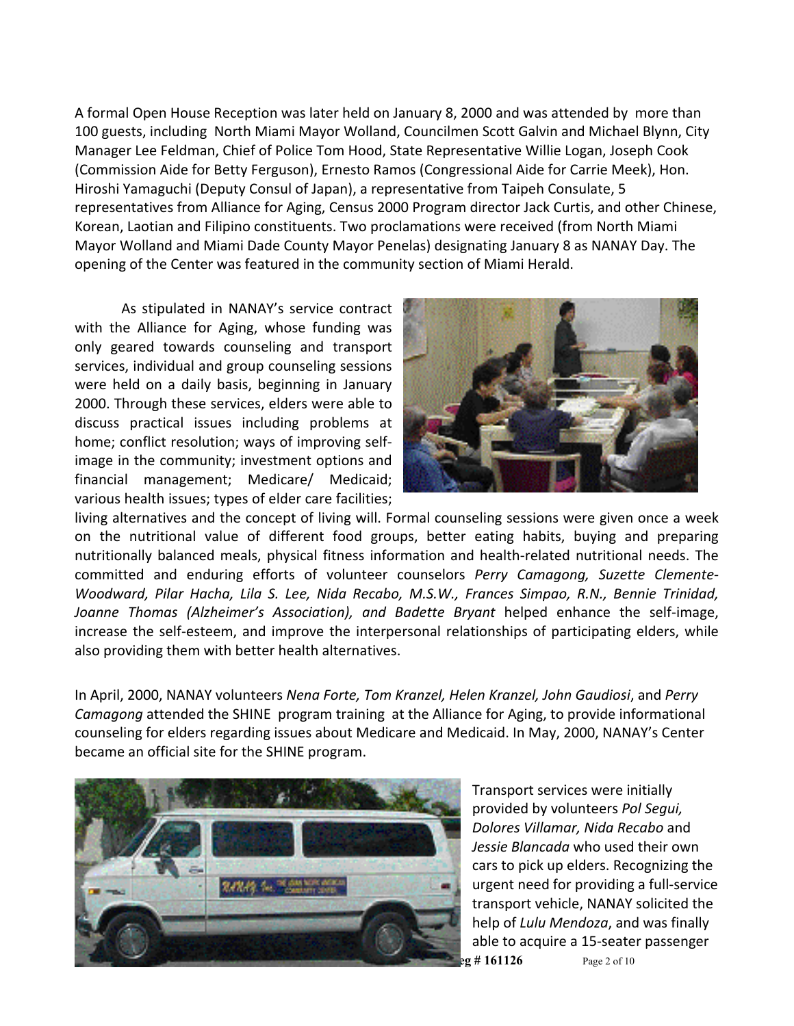A formal Open House Reception was later held on January 8, 2000 and was attended by more than 100 guests, including North Miami Mayor Wolland, Councilmen Scott Galvin and Michael Blynn, City Manager Lee Feldman, Chief of Police Tom Hood, State Representative Willie Logan, Joseph Cook (Commission Aide for Betty Ferguson), Ernesto Ramos (Congressional Aide for Carrie Meek), Hon. Hiroshi Yamaguchi (Deputy Consul of Japan), a representative from Taipeh Consulate, 5 representatives from Alliance for Aging, Census 2000 Program director Jack Curtis, and other Chinese, Korean, Laotian and Filipino constituents. Two proclamations were received (from North Miami Mayor Wolland and Miami Dade County Mayor Penelas) designating January 8 as NANAY Day. The opening of the Center was featured in the community section of Miami Herald.

As stipulated in NANAY's service contract with the Alliance for Aging, whose funding was only geared towards counseling and transport services, individual and group counseling sessions were held on a daily basis, beginning in January 2000. Through these services, elders were able to discuss practical issues including problems at home; conflict resolution; ways of improving selfimage in the community; investment options and financial management; Medicare/ Medicaid; various health issues; types of elder care facilities;



living alternatives and the concept of living will. Formal counseling sessions were given once a week on the nutritional value of different food groups, better eating habits, buying and preparing nutritionally balanced meals, physical fitness information and health-related nutritional needs. The committed and enduring efforts of volunteer counselors *Perry Camagong, Suzette Clemente-Woodward, Pilar Hacha, Lila S. Lee, Nida Recabo, M.S.W., Frances Simpao, R.N., Bennie Trinidad, Joanne Thomas (Alzheimer's Association), and Badette Bryant* helped enhance the self-image, increase the self-esteem, and improve the interpersonal relationships of participating elders, while also providing them with better health alternatives.

In April, 2000, NANAY volunteers *Nena Forte, Tom Kranzel, Helen Kranzel, John Gaudiosi*, and *Perry Camagong* attended the SHINE program training at the Alliance for Aging, to provide informational counseling for elders regarding issues about Medicare and Medicaid. In May, 2000, NANAY's Center became an official site for the SHINE program.



Transport services were initially provided by volunteers *Pol Segui, Dolores Villamar, Nida Recabo* and *Jessie Blancada* who used their own cars to pick up elders. Recognizing the urgent need for providing a full-service transport vehicle, NANAY solicited the help of *Lulu Mendoza*, and was finally able to acquire a 15-seater passenger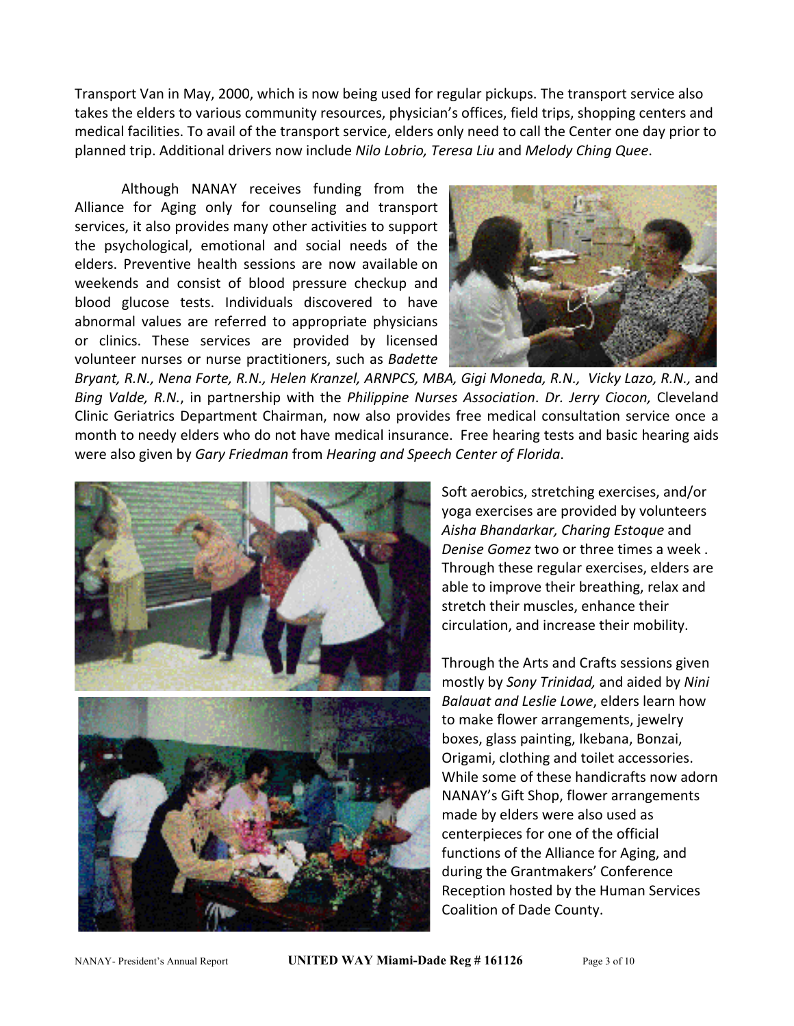Transport Van in May, 2000, which is now being used for regular pickups. The transport service also takes the elders to various community resources, physician's offices, field trips, shopping centers and medical facilities. To avail of the transport service, elders only need to call the Center one day prior to planned trip. Additional drivers now include *Nilo Lobrio, Teresa Liu* and *Melody Ching Quee*.

Although NANAY receives funding from the Alliance for Aging only for counseling and transport services, it also provides many other activities to support the psychological, emotional and social needs of the elders. Preventive health sessions are now available on weekends and consist of blood pressure checkup and blood glucose tests. Individuals discovered to have abnormal values are referred to appropriate physicians or clinics. These services are provided by licensed volunteer nurses or nurse practitioners, such as *Badette* 



*Bryant, R.N., Nena Forte, R.N., Helen Kranzel, ARNPCS, MBA, Gigi Moneda, R.N., Vicky Lazo, R.N.,* and *Bing Valde, R.N.*, in partnership with the *Philippine Nurses Association*. *Dr. Jerry Ciocon,* Cleveland Clinic Geriatrics Department Chairman, now also provides free medical consultation service once a month to needy elders who do not have medical insurance. Free hearing tests and basic hearing aids were also given by *Gary Friedman* from *Hearing and Speech Center of Florida*.



Soft aerobics, stretching exercises, and/or yoga exercises are provided by volunteers *Aisha Bhandarkar, Charing Estoque* and *Denise Gomez* two or three times a week . Through these regular exercises, elders are able to improve their breathing, relax and stretch their muscles, enhance their circulation, and increase their mobility.

Through the Arts and Crafts sessions given mostly by *Sony Trinidad,* and aided by *Nini Balauat and Leslie Lowe*, elders learn how to make flower arrangements, jewelry boxes, glass painting, Ikebana, Bonzai, Origami, clothing and toilet accessories. While some of these handicrafts now adorn NANAY's Gift Shop, flower arrangements made by elders were also used as centerpieces for one of the official functions of the Alliance for Aging, and during the Grantmakers' Conference Reception hosted by the Human Services Coalition of Dade County.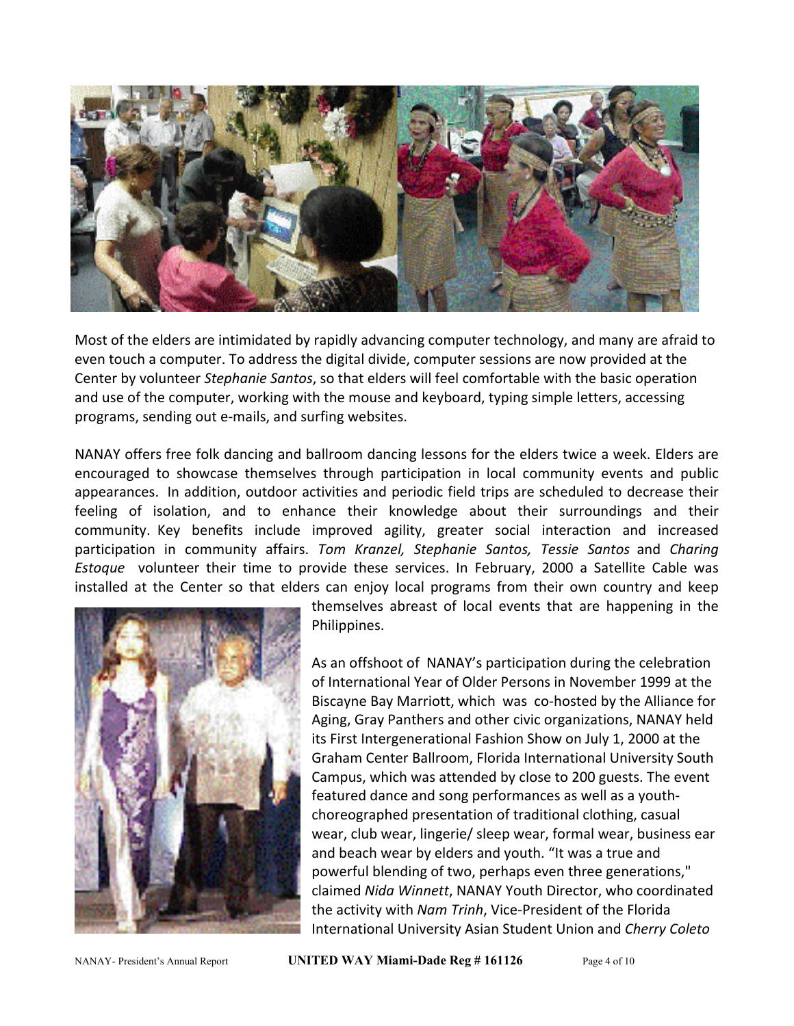

Most of the elders are intimidated by rapidly advancing computer technology, and many are afraid to even touch a computer. To address the digital divide, computer sessions are now provided at the Center by volunteer *Stephanie Santos*, so that elders will feel comfortable with the basic operation and use of the computer, working with the mouse and keyboard, typing simple letters, accessing programs, sending out e-mails, and surfing websites.

NANAY offers free folk dancing and ballroom dancing lessons for the elders twice a week. Elders are encouraged to showcase themselves through participation in local community events and public appearances. In addition, outdoor activities and periodic field trips are scheduled to decrease their feeling of isolation, and to enhance their knowledge about their surroundings and their community. Key benefits include improved agility, greater social interaction and increased participation in community affairs. *Tom Kranzel, Stephanie Santos, Tessie Santos* and *Charing Estoque* volunteer their time to provide these services. In February, 2000 a Satellite Cable was installed at the Center so that elders can enjoy local programs from their own country and keep



themselves abreast of local events that are happening in the Philippines.

As an offshoot of NANAY's participation during the celebration of International Year of Older Persons in November 1999 at the Biscayne Bay Marriott, which was co-hosted by the Alliance for Aging, Gray Panthers and other civic organizations, NANAY held its First Intergenerational Fashion Show on July 1, 2000 at the Graham Center Ballroom, Florida International University South Campus, which was attended by close to 200 guests. The event featured dance and song performances as well as a youthchoreographed presentation of traditional clothing, casual wear, club wear, lingerie/ sleep wear, formal wear, business ear and beach wear by elders and youth. "It was a true and powerful blending of two, perhaps even three generations," claimed *Nida Winnett*, NANAY Youth Director, who coordinated the activity with *Nam Trinh*, Vice-President of the Florida International University Asian Student Union and *Cherry Coleto*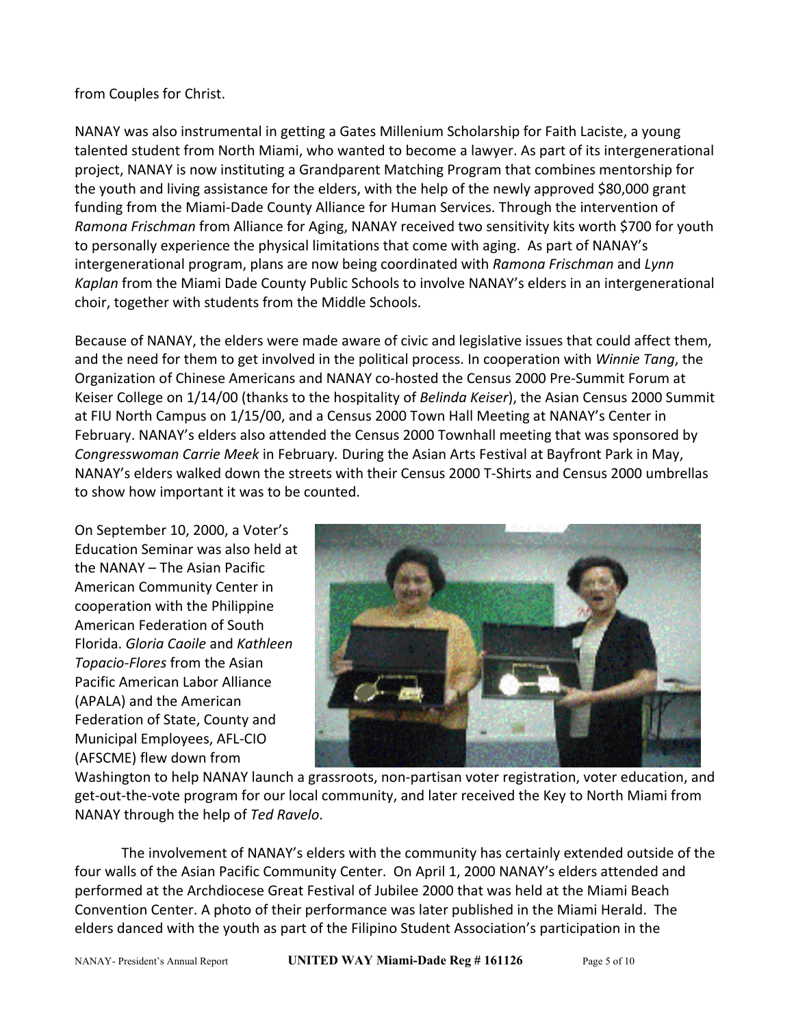## from Couples for Christ.

NANAY was also instrumental in getting a Gates Millenium Scholarship for Faith Laciste, a young talented student from North Miami, who wanted to become a lawyer. As part of its intergenerational project, NANAY is now instituting a Grandparent Matching Program that combines mentorship for the youth and living assistance for the elders, with the help of the newly approved \$80,000 grant funding from the Miami-Dade County Alliance for Human Services. Through the intervention of *Ramona Frischman* from Alliance for Aging, NANAY received two sensitivity kits worth \$700 for youth to personally experience the physical limitations that come with aging. As part of NANAY's intergenerational program, plans are now being coordinated with *Ramona Frischman* and *Lynn Kaplan* from the Miami Dade County Public Schools to involve NANAY's elders in an intergenerational choir, together with students from the Middle Schools.

Because of NANAY, the elders were made aware of civic and legislative issues that could affect them, and the need for them to get involved in the political process. In cooperation with *Winnie Tang*, the Organization of Chinese Americans and NANAY co-hosted the Census 2000 Pre-Summit Forum at Keiser College on 1/14/00 (thanks to the hospitality of *Belinda Keiser*), the Asian Census 2000 Summit at FIU North Campus on 1/15/00, and a Census 2000 Town Hall Meeting at NANAY's Center in February. NANAY's elders also attended the Census 2000 Townhall meeting that was sponsored by *Congresswoman Carrie Meek* in February*.* During the Asian Arts Festival at Bayfront Park in May, NANAY's elders walked down the streets with their Census 2000 T-Shirts and Census 2000 umbrellas to show how important it was to be counted.

On September 10, 2000, a Voter's Education Seminar was also held at the NANAY – The Asian Pacific American Community Center in cooperation with the Philippine American Federation of South Florida. *Gloria Caoile* and *Kathleen Topacio-Flores* from the Asian Pacific American Labor Alliance (APALA) and the American Federation of State, County and Municipal Employees, AFL-CIO (AFSCME) flew down from



Washington to help NANAY launch a grassroots, non-partisan voter registration, voter education, and get-out-the-vote program for our local community, and later received the Key to North Miami from NANAY through the help of *Ted Ravelo*.

The involvement of NANAY's elders with the community has certainly extended outside of the four walls of the Asian Pacific Community Center. On April 1, 2000 NANAY's elders attended and performed at the Archdiocese Great Festival of Jubilee 2000 that was held at the Miami Beach Convention Center. A photo of their performance was later published in the Miami Herald. The elders danced with the youth as part of the Filipino Student Association's participation in the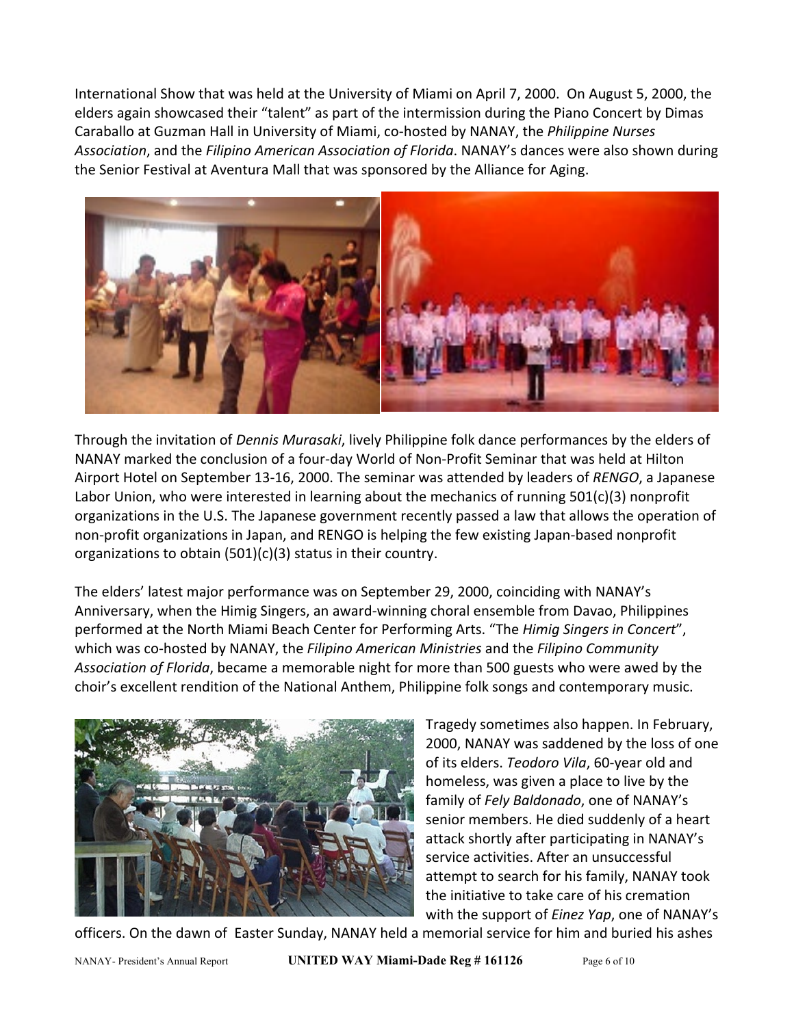International Show that was held at the University of Miami on April 7, 2000. On August 5, 2000, the elders again showcased their "talent" as part of the intermission during the Piano Concert by Dimas Caraballo at Guzman Hall in University of Miami, co-hosted by NANAY, the *Philippine Nurses Association*, and the *Filipino American Association of Florida*. NANAY's dances were also shown during the Senior Festival at Aventura Mall that was sponsored by the Alliance for Aging.



Through the invitation of *Dennis Murasaki*, lively Philippine folk dance performances by the elders of NANAY marked the conclusion of a four-day World of Non-Profit Seminar that was held at Hilton Airport Hotel on September 13-16, 2000. The seminar was attended by leaders of *RENGO*, a Japanese Labor Union, who were interested in learning about the mechanics of running 501(c)(3) nonprofit organizations in the U.S. The Japanese government recently passed a law that allows the operation of non-profit organizations in Japan, and RENGO is helping the few existing Japan-based nonprofit organizations to obtain (501)(c)(3) status in their country.

The elders' latest major performance was on September 29, 2000, coinciding with NANAY's Anniversary, when the Himig Singers, an award-winning choral ensemble from Davao, Philippines performed at the North Miami Beach Center for Performing Arts. "The *Himig Singers in Concert*", which was co-hosted by NANAY, the *Filipino American Ministries* and the *Filipino Community Association of Florida*, became a memorable night for more than 500 guests who were awed by the choir's excellent rendition of the National Anthem, Philippine folk songs and contemporary music.



Tragedy sometimes also happen. In February, 2000, NANAY was saddened by the loss of one of its elders. *Teodoro Vila*, 60-year old and homeless, was given a place to live by the family of *Fely Baldonado*, one of NANAY's senior members. He died suddenly of a heart attack shortly after participating in NANAY's service activities. After an unsuccessful attempt to search for his family, NANAY took the initiative to take care of his cremation with the support of *Einez Yap*, one of NANAY's

officers. On the dawn of Easter Sunday, NANAY held a memorial service for him and buried his ashes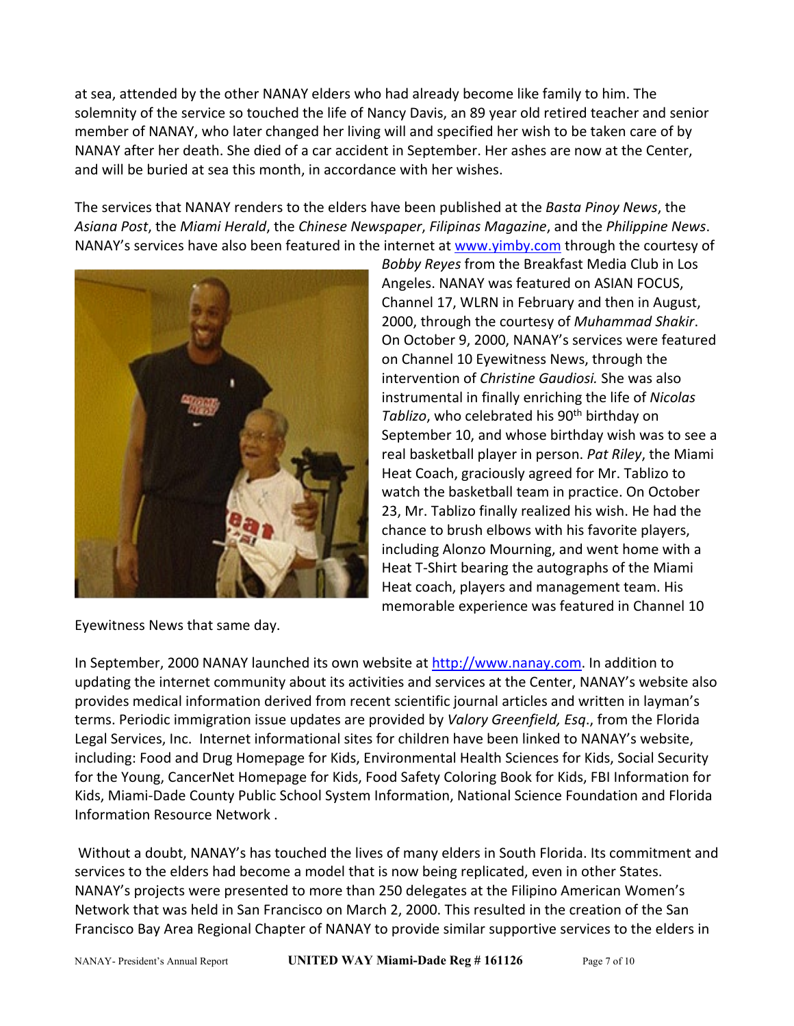at sea, attended by the other NANAY elders who had already become like family to him. The solemnity of the service so touched the life of Nancy Davis, an 89 year old retired teacher and senior member of NANAY, who later changed her living will and specified her wish to be taken care of by NANAY after her death. She died of a car accident in September. Her ashes are now at the Center, and will be buried at sea this month, in accordance with her wishes.

The services that NANAY renders to the elders have been published at the *Basta Pinoy News*, the *Asiana Post*, the *Miami Herald*, the *Chinese Newspaper*, *Filipinas Magazine*, and the *Philippine News*. NANAY's services have also been featured in the internet a[t www.yimby.com](http://www.yimby.com/) through the courtesy of



*Bobby Reyes* from the Breakfast Media Club in Los Angeles. NANAY was featured on ASIAN FOCUS, Channel 17, WLRN in February and then in August, 2000, through the courtesy of *Muhammad Shakir*. On October 9, 2000, NANAY's services were featured on Channel 10 Eyewitness News, through the intervention of *Christine Gaudiosi.* She was also instrumental in finally enriching the life of *Nicolas*  Tablizo, who celebrated his 90<sup>th</sup> birthday on September 10, and whose birthday wish was to see a real basketball player in person. *Pat Riley*, the Miami Heat Coach, graciously agreed for Mr. Tablizo to watch the basketball team in practice. On October 23, Mr. Tablizo finally realized his wish. He had the chance to brush elbows with his favorite players, including Alonzo Mourning, and went home with a Heat T-Shirt bearing the autographs of the Miami Heat coach, players and management team. His memorable experience was featured in Channel 10

Eyewitness News that same day.

In September, 2000 NANAY launched its own website at [http://www.nanay.com.](http://www.nanay.com/) In addition to updating the internet community about its activities and services at the Center, NANAY's website also provides medical information derived from recent scientific journal articles and written in layman's terms. Periodic immigration issue updates are provided by *Valory Greenfield, Esq*., from the Florida Legal Services, Inc. Internet informational sites for children have been linked to NANAY's website, including: Food and Drug Homepage for Kids, Environmental Health Sciences for Kids, Social Security for the Young, CancerNet Homepage for Kids, Food Safety Coloring Book for Kids, FBI Information for Kids, Miami-Dade County Public School System Information, National Science Foundation and Florida Information Resource Network .

Without a doubt, NANAY's has touched the lives of many elders in South Florida. Its commitment and services to the elders had become a model that is now being replicated, even in other States. NANAY's projects were presented to more than 250 delegates at the Filipino American Women's Network that was held in San Francisco on March 2, 2000. This resulted in the creation of the San Francisco Bay Area Regional Chapter of NANAY to provide similar supportive services to the elders in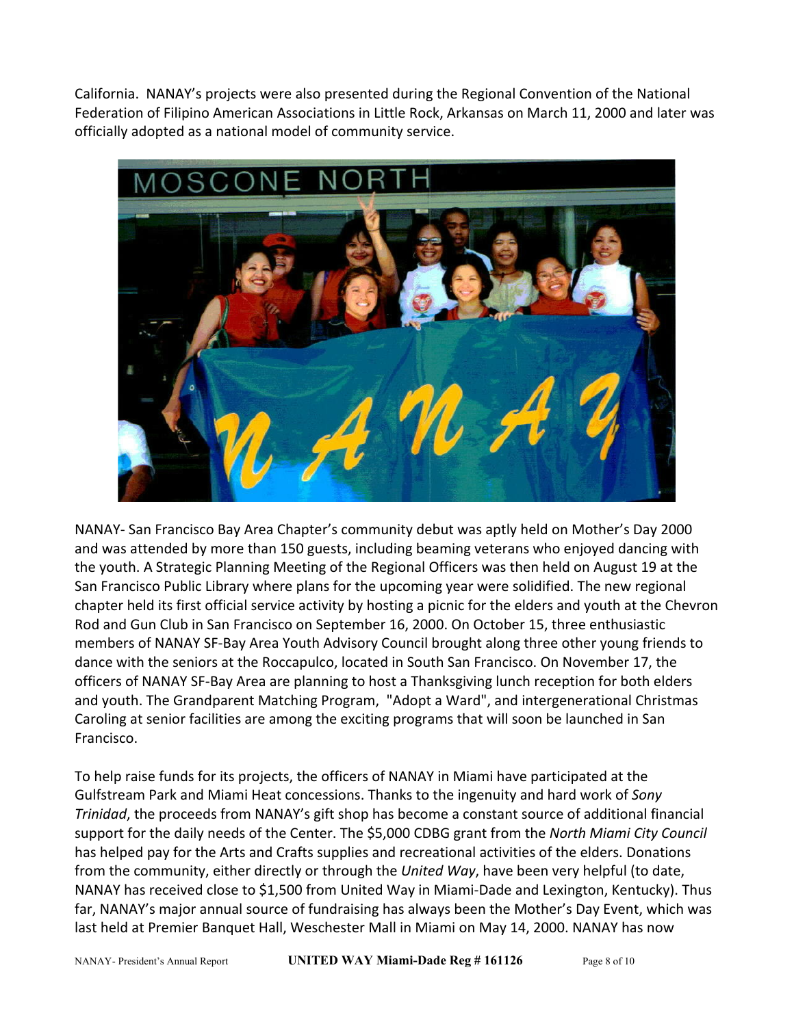California. NANAY's projects were also presented during the Regional Convention of the National Federation of Filipino American Associations in Little Rock, Arkansas on March 11, 2000 and later was officially adopted as a national model of community service.



NANAY- San Francisco Bay Area Chapter's community debut was aptly held on Mother's Day 2000 and was attended by more than 150 guests, including beaming veterans who enjoyed dancing with the youth. A Strategic Planning Meeting of the Regional Officers was then held on August 19 at the San Francisco Public Library where plans for the upcoming year were solidified. The new regional chapter held its first official service activity by hosting a picnic for the elders and youth at the Chevron Rod and Gun Club in San Francisco on September 16, 2000. On October 15, three enthusiastic members of NANAY SF-Bay Area Youth Advisory Council brought along three other young friends to dance with the seniors at the Roccapulco, located in South San Francisco. On November 17, the officers of NANAY SF-Bay Area are planning to host a Thanksgiving lunch reception for both elders and youth. The Grandparent Matching Program, "Adopt a Ward", and intergenerational Christmas Caroling at senior facilities are among the exciting programs that will soon be launched in San Francisco.

To help raise funds for its projects, the officers of NANAY in Miami have participated at the Gulfstream Park and Miami Heat concessions. Thanks to the ingenuity and hard work of *Sony Trinidad*, the proceeds from NANAY's gift shop has become a constant source of additional financial support for the daily needs of the Center. The \$5,000 CDBG grant from the *North Miami City Council* has helped pay for the Arts and Crafts supplies and recreational activities of the elders. Donations from the community, either directly or through the *United Way*, have been very helpful (to date, NANAY has received close to \$1,500 from United Way in Miami-Dade and Lexington, Kentucky). Thus far, NANAY's major annual source of fundraising has always been the Mother's Day Event, which was last held at Premier Banquet Hall, Weschester Mall in Miami on May 14, 2000. NANAY has now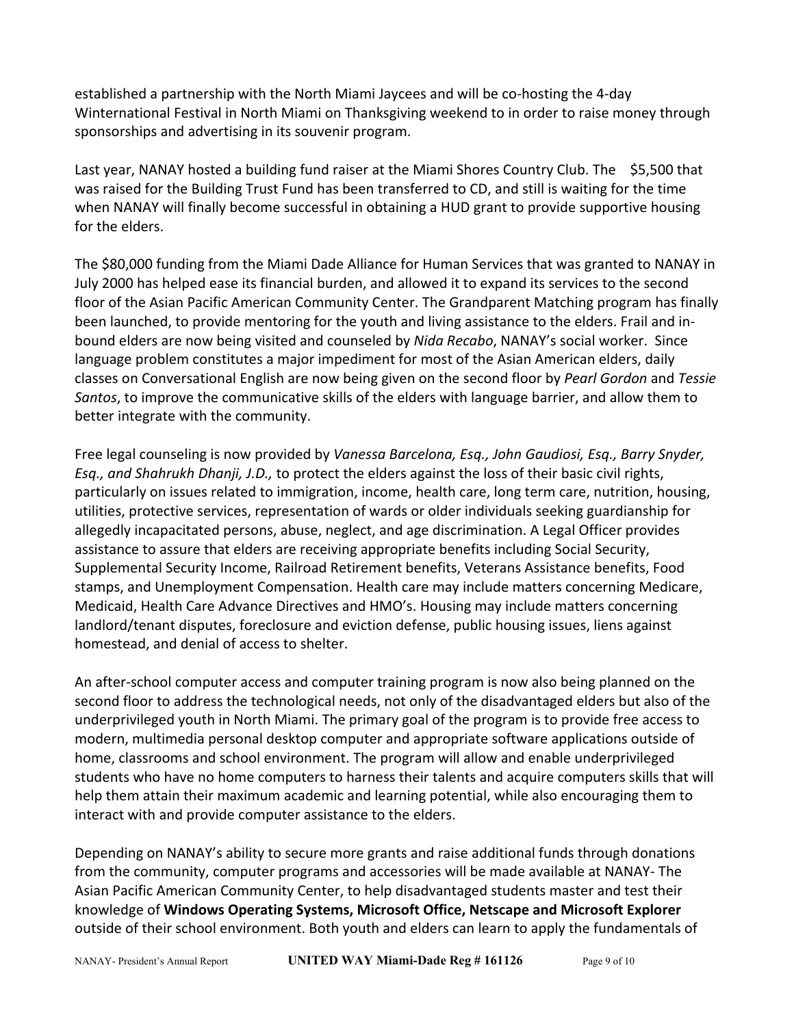established a partnership with the North Miami Jaycees and will be co-hosting the 4-day Winternational Festival in North Miami on Thanksgiving weekend to in order to raise money through sponsorships and advertising in its souvenir program.

Last year, NANAY hosted a building fund raiser at the Miami Shores Country Club. The \$5,500 that was raised for the Building Trust Fund has been transferred to CD, and still is waiting for the time when NANAY will finally become successful in obtaining a HUD grant to provide supportive housing for the elders.

The \$80,000 funding from the Miami Dade Alliance for Human Services that was granted to NANAY in July 2000 has helped ease its financial burden, and allowed it to expand its services to the second floor of the Asian Pacific American Community Center. The Grandparent Matching program has finally been launched, to provide mentoring for the youth and living assistance to the elders. Frail and inbound elders are now being visited and counseled by *Nida Recabo*, NANAY's social worker. Since language problem constitutes a major impediment for most of the Asian American elders, daily classes on Conversational English are now being given on the second floor by *Pearl Gordon* and *Tessie Santos*, to improve the communicative skills of the elders with language barrier, and allow them to better integrate with the community.

Free legal counseling is now provided by *Vanessa Barcelona, Esq., John Gaudiosi, Esq., Barry Snyder, Esq., and Shahrukh Dhanji, J.D.,* to protect the elders against the loss of their basic civil rights, particularly on issues related to immigration, income, health care, long term care, nutrition, housing, utilities, protective services, representation of wards or older individuals seeking guardianship for allegedly incapacitated persons, abuse, neglect, and age discrimination. A Legal Officer provides assistance to assure that elders are receiving appropriate benefits including Social Security, Supplemental Security Income, Railroad Retirement benefits, Veterans Assistance benefits, Food stamps, and Unemployment Compensation. Health care may include matters concerning Medicare, Medicaid, Health Care Advance Directives and HMO's. Housing may include matters concerning landlord/tenant disputes, foreclosure and eviction defense, public housing issues, liens against homestead, and denial of access to shelter.

An after-school computer access and computer training program is now also being planned on the second floor to address the technological needs, not only of the disadvantaged elders but also of the underprivileged youth in North Miami. The primary goal of the program is to provide free access to modern, multimedia personal desktop computer and appropriate software applications outside of home, classrooms and school environment. The program will allow and enable underprivileged students who have no home computers to harness their talents and acquire computers skills that will help them attain their maximum academic and learning potential, while also encouraging them to interact with and provide computer assistance to the elders.

Depending on NANAY's ability to secure more grants and raise additional funds through donations from the community, computer programs and accessories will be made available at NANAY- The Asian Pacific American Community Center, to help disadvantaged students master and test their knowledge of **Windows Operating Systems, Microsoft Office, Netscape and Microsoft Explorer**  outside of their school environment. Both youth and elders can learn to apply the fundamentals of